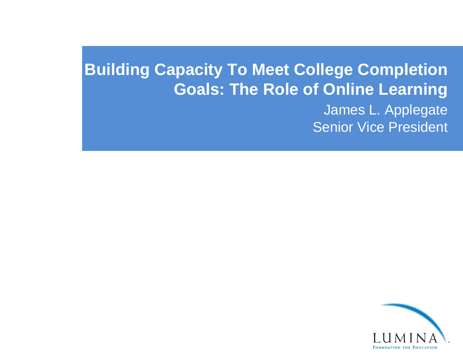## **Building Capacity To Meet College Completion Goals: The Role of Online Learning**

## James L. Applegate Senior Vice President

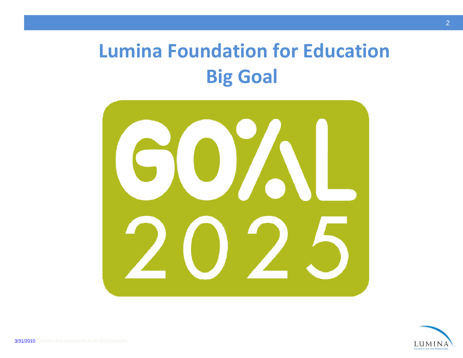## **Lumina Foundation for Education Big Goal**



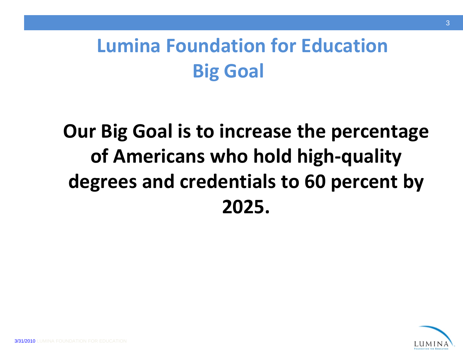# **Lumina Foundation for Education Big Goal**

# **Our Big Goal is to increase the percentage of Americans who hold high‐quality degrees and credentials to 60 percent by 2025.**

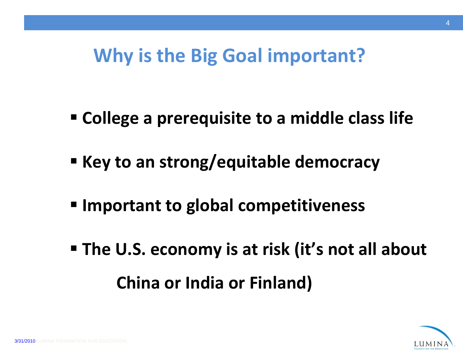## **Why is the Big Goal important?**

- **College <sup>a</sup> prerequisite to <sup>a</sup> middle class life**
- **Key to an strong/equitable democracy**
- **Important to global competitiveness**
- **The U.S. economy is at risk (it's not all about China or India or Finland)**

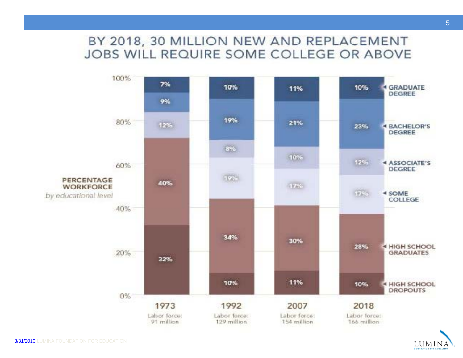## BY 2018, 30 MILLION NEW AND REPLACEMENT JOBS WILL REQUIRE SOME COLLEGE OR ABOVE



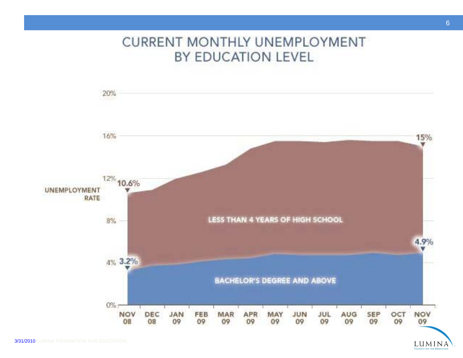## **CURRENT MONTHLY UNEMPLOYMENT** BY EDUCATION LEVEL



LUMINA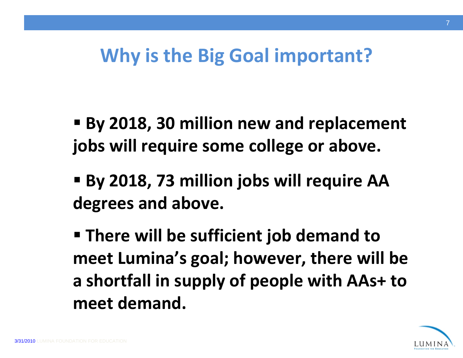## **Why is the Big Goal important?**

- **By 2018, 30 million new and replacement jobs will require some college or above.**
- **By 2018, 73 million jobs will require AA degrees and above.**
- **There will be sufficient job demand to meet Lumina's goal; however, there will be a shortfall in supply of people with AAs+ to meet demand.**

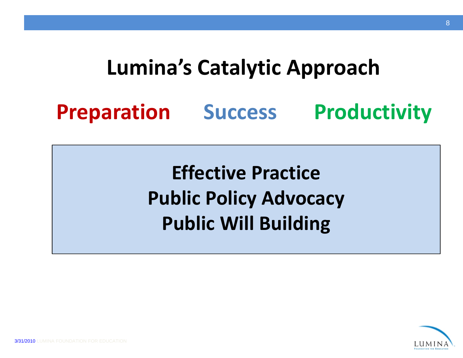# **Lumina's Catalytic Approach**

## **Preparation Success Productivity**

**Effective Practice Public Policy Advocacy Public Will Building**

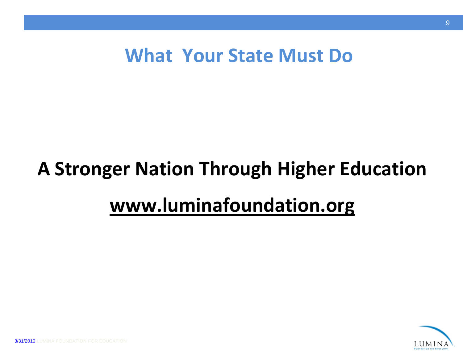## **What Your State Must Do**

# **A Stronger Nation Through Higher Education www.luminafoundation.org**

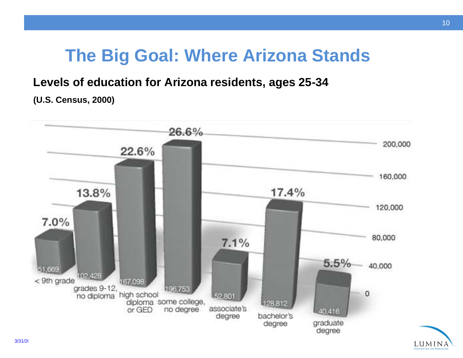## **The Big Goal: Where Arizona Stands**

### **Levels of education for Arizona residents, ages 25-34**

#### **(U.S. Census, 2000)**



LUMINA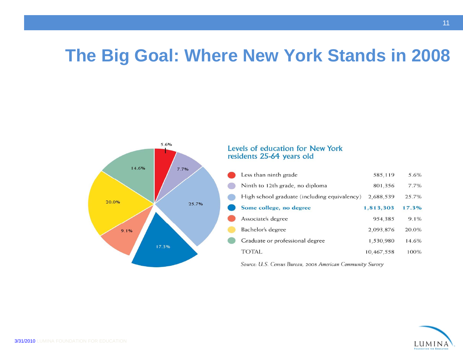## **The Big Goal: Where New York Stands in 2008**



#### Levels of education for New York residents 25-64 years old

| Less than ninth grade                        | 585,119    | 5.6%  |
|----------------------------------------------|------------|-------|
| Ninth to 12th grade, no diploma              | 801,356    | 7.7%  |
| High school graduate (including equivalency) | 2,688,539  | 25.7% |
| Some college, no degree                      | 1,813,303  | 17.3% |
| Associate's degree                           | 954,385    | 9.1%  |
| Bachelor's degree                            | 2,093,876  | 20.0% |
| Graduate or professional degree              | 1,530,980  | 14.6% |
| TOTAL.                                       | 10,467,558 | 100%  |

Source: U.S. Census Bureau, 2008 American Community Survey

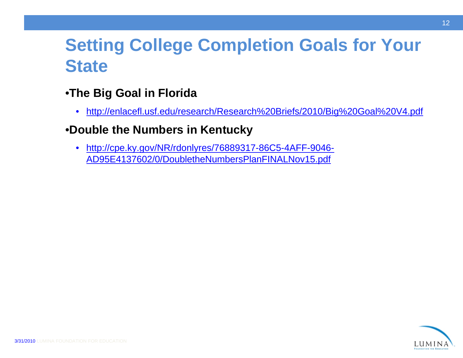## **Setting College Completion Goals for Your Your State**

- •**Th Bi G l i Fl id The Big Goal in Florid a**
	- $\bullet$ http://enlacefl.usf.edu/research/Research%20Briefs/2010/Big%20Goal%20V4.pdf

## •**Double the Numbers in Kentuck y**

 $\bullet$  http://cpe.ky.gov/NR/rdonlyres/76889317-86C5-4AFF-9046- AD95E4137602/0/DoubletheNumbersPlanFINALNov15.pdf

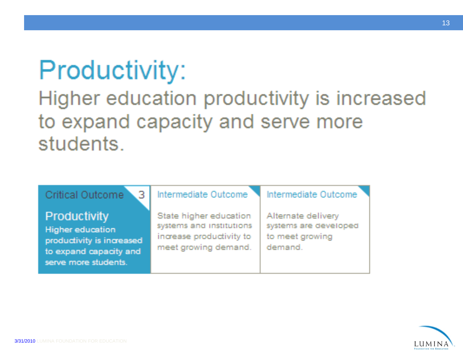# **Productivity:**

## Higher education productivity is increased to expand capacity and serve more students.

| . 3<br>Critical Outcome                                                                                         | Intermediate Outcome                                                                                   | Intermediate Outcome                                                      |
|-----------------------------------------------------------------------------------------------------------------|--------------------------------------------------------------------------------------------------------|---------------------------------------------------------------------------|
| Productivity<br>Higher education<br>productivity is increased<br>to expand capacity and<br>serve more students. | State higher education<br>systems and institutions<br>increase productivity to<br>meet growing demand. | Alternate delivery<br>systems are developed<br>to meet growing<br>demand. |



13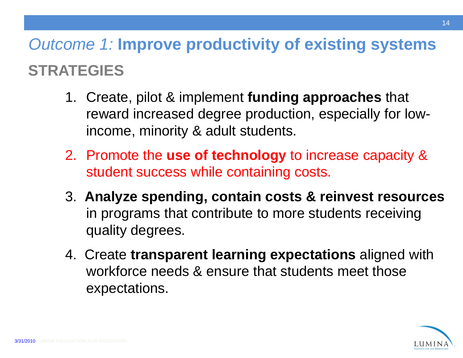## *Outcome 1:* **Improve productivity of existing systems STRATEGIES**

- 1. Create, pilot & implement **funding approaches** that reward increased degree production, especially for lowincome, minority & adult students.
- 2. Promote the **use of technology** to increase capacity & student success while containing costs.
- 3. **Analyze spending, contain costs & reinvest resources**  in programs that contribute to more students receiving quality degrees.
- 4. Create **transparent learning expectations** aligned with workforce needs & ensure that students meet those expectations.